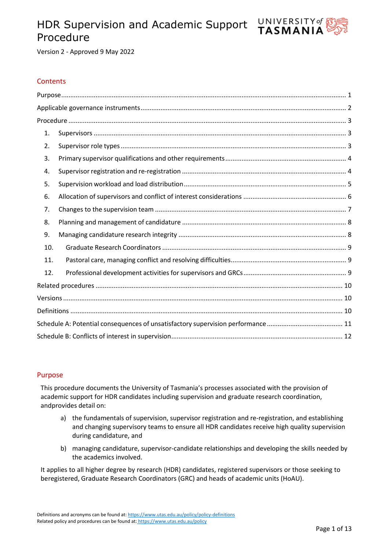# HDR Supervision and Academic Support Procedure



Version 2 - Approved 9 May 2022

## **Contents**

| 1.  |  |
|-----|--|
| 2.  |  |
| 3.  |  |
| 4.  |  |
| 5.  |  |
| 6.  |  |
| 7.  |  |
| 8.  |  |
| 9.  |  |
| 10. |  |
| 11. |  |
| 12. |  |
|     |  |
|     |  |
|     |  |
|     |  |
|     |  |

## <span id="page-0-0"></span>Purpose

This procedure documents the University of Tasmania's processes associated with the provision of academic support for HDR candidates including supervision and graduate research coordination, andprovides detail on:

- a) the fundamentals of supervision, supervisor registration and re-registration, and establishing and changing supervisory teams to ensure all HDR candidates receive high quality supervision during candidature, and
- b) managing candidature, supervisor-candidate relationships and developing the skills needed by the academics involved.

It applies to all higher degree by research (HDR) candidates, registered supervisors or those seeking to beregistered, Graduate Research Coordinators (GRC) and heads of academic units (HoAU).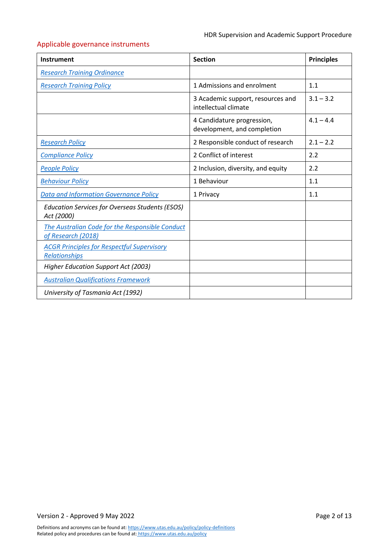# <span id="page-1-0"></span>Applicable governance instruments

| Instrument                                                                | <b>Section</b>                                            | <b>Principles</b> |
|---------------------------------------------------------------------------|-----------------------------------------------------------|-------------------|
| <b>Research Training Ordinance</b>                                        |                                                           |                   |
| <b>Research Training Policy</b>                                           | 1 Admissions and enrolment                                | 1.1               |
|                                                                           | 3 Academic support, resources and<br>intellectual climate | $3.1 - 3.2$       |
|                                                                           | 4 Candidature progression,<br>development, and completion | $4.1 - 4.4$       |
| <b>Research Policy</b>                                                    | 2 Responsible conduct of research                         | $2.1 - 2.2$       |
| <b>Compliance Policy</b>                                                  | 2 Conflict of interest                                    | 2.2               |
| <b>People Policy</b>                                                      | 2 Inclusion, diversity, and equity                        | 2.2               |
| <b>Behaviour Policy</b>                                                   | 1 Behaviour                                               | 1.1               |
| <b>Data and Information Governance Policy</b>                             | 1 Privacy                                                 | 1.1               |
| <b>Education Services for Overseas Students (ESOS)</b><br>Act (2000)      |                                                           |                   |
| The Australian Code for the Responsible Conduct<br>of Research (2018)     |                                                           |                   |
| <b>ACGR Principles for Respectful Supervisory</b><br><b>Relationships</b> |                                                           |                   |
| Higher Education Support Act (2003)                                       |                                                           |                   |
| <b>Australian Qualifications Framework</b>                                |                                                           |                   |
| University of Tasmania Act (1992)                                         |                                                           |                   |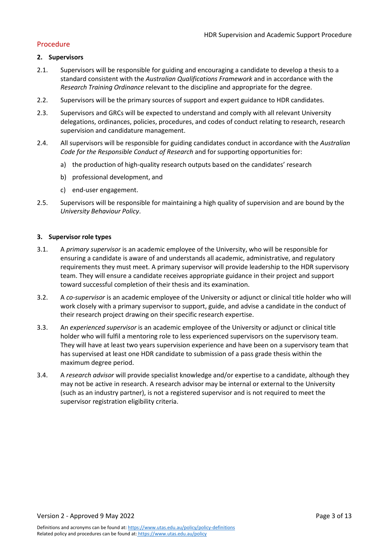## <span id="page-2-0"></span>Procedure

### <span id="page-2-1"></span>**2. Supervisors**

- 2.1. Supervisors will be responsible for guiding and encouraging a candidate to develop a thesis to a standard consistent with the *Australian Qualifications Framework* and in accordance with the *Research Training Ordinance* relevant to the discipline and appropriate for the degree.
- 2.2. Supervisors will be the primary sources of support and expert guidance to HDR candidates.
- 2.3. Supervisors and GRCs will be expected to understand and comply with all relevant University delegations, ordinances, policies, procedures, and codes of conduct relating to research, research supervision and candidature management.
- 2.4. All supervisors will be responsible for guiding candidates conduct in accordance with the *Australian Code for the Responsible Conduct of Research* and forsupporting opportunities for:
	- a) the production of high-quality research outputs based on the candidates' research
	- b) professional development, and
	- c) end-user engagement.
- 2.5. Supervisors will be responsible for maintaining a high quality of supervision and are bound by the *University Behaviour Policy*.

#### <span id="page-2-2"></span>**3. Supervisor role types**

- 3.1. A *primary supervisor* is an academic employee of the University, who will be responsible for ensuring a candidate is aware of and understands all academic, administrative, and regulatory requirements they must meet. A primary supervisor will provide leadership to the HDR supervisory team. They will ensure a candidate receives appropriate guidance in their project and support toward successful completion of their thesis and its examination.
- 3.2. A *co-supervisor* is an academic employee of the University or adjunct or clinical title holder who will work closely with a primary supervisor to support, guide, and advise a candidate in the conduct of their research project drawing on their specific research expertise.
- 3.3. An *experienced supervisor* is an academic employee of the University or adjunct or clinical title holder who will fulfil a mentoring role to less experienced supervisors on the supervisory team. They will have at least two years supervision experience and have been on a supervisory team that has supervised at least one HDR candidate to submission of a pass grade thesis within the maximum degree period.
- 3.4. A *research advisor* will provide specialist knowledge and/or expertise to a candidate, although they may not be active in research. A research advisor may be internal or external to the University (such as an industry partner), is not a registered supervisor and is not required to meet the supervisor registration eligibility criteria.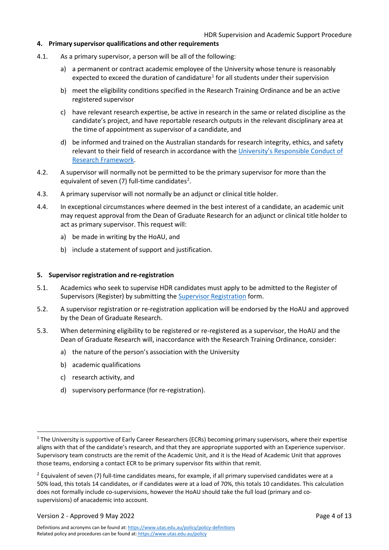## <span id="page-3-0"></span>**4. Primary supervisor qualifications and other requirements**

- 4.1. As a primary supervisor, a person will be all of the following:
	- a) a permanent or contract academic employee of the University whose tenure is reasonably expected to exceed the duration of candidature<sup>[1](#page-3-2)</sup> for all students under their supervision
	- b) meet the eligibility conditions specified in the Research Training Ordinance and be an active registered supervisor
	- c) have relevant research expertise, be active in research in the same or related discipline as the candidate's project, and have reportable research outputs in the relevant disciplinary area at the time of appointment as supervisor of a candidate, and
	- d) be informed and trained on the Australian standards for research integrity, ethics, and safety relevant to their field of research in accordance with the [University's Responsible Conduct of](https://www.utas.edu.au/research-admin/research-integrity-and-ethics-unit-rieu/research-integrity/university-of-tasmania-responsible-conduct-of-research-framework) [Research Framework.](https://www.utas.edu.au/research-admin/research-integrity-and-ethics-unit-rieu/research-integrity/university-of-tasmania-responsible-conduct-of-research-framework)
- 4.2. A supervisor will normally not be permitted to be the primary supervisor for more than the equivalent of seven (7) full-time candidates<sup>2</sup>.
- 4.3. A primary supervisor will not normally be an adjunct or clinical title holder.
- 4.4. In exceptional circumstances where deemed in the best interest of a candidate, an academic unit may request approval from the Dean of Graduate Research for an adjunct or clinical title holder to act as primary supervisor. This request will:
	- a) be made in writing by the HoAU, and
	- b) include a statement of support and justification.

#### <span id="page-3-1"></span>**5. Supervisor registration and re-registration**

- 5.1. Academics who seek to supervise HDR candidates must apply to be admitted to the Register of Supervisors (Register) by submitting the Supervisor [Registration](https://utas1.service-now.com/selfservice?id=sc_cat_item&sys_id=29fa8bbcdb34a3006223147a3a961999) form.
- 5.2. A supervisor registration or re-registration application will be endorsed by the HoAU and approved by the Dean of Graduate Research.
- <span id="page-3-4"></span>5.3. When determining eligibility to be registered or re-registered as a supervisor, the HoAU and the Dean of Graduate Research will, inaccordance with the Research Training Ordinance, consider:
	- a) the nature of the person's association with the University
	- b) academic qualifications
	- c) research activity, and
	- d) supervisory performance (for re-registration).

Version 2 - Approved 9 May 2022 **Page 4 of 13** 

<span id="page-3-2"></span> $1$  The University is supportive of Early Career Researchers (ECRs) becoming primary supervisors, where their expertise aligns with that of the candidate's research, and that they are appropriate supported with an Experience supervisor. Supervisory team constructs are the remit of the Academic Unit, and it is the Head of Academic Unit that approves those teams, endorsing a contact ECR to be primary supervisor fits within that remit.

<span id="page-3-3"></span> $2$  Equivalent of seven (7) full-time candidates means, for example, if all primary supervised candidates were at a 50% load, this totals 14 candidates, or if candidates were at a load of 70%, this totals 10 candidates. This calculation does not formally include co-supervisions, however the HoAU should take the full load (primary and cosupervisions) of anacademic into account.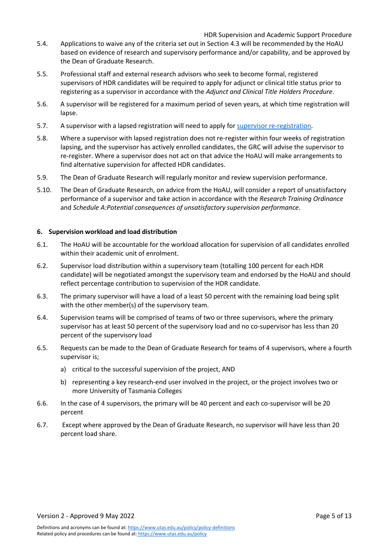#### HDR Supervision and Academic Support Procedure

- 5.4. Applications to waive any of the criteria set out in Sectio[n 4.3 w](#page-3-4)ill be recommended by the HoAU based on evidence of research and supervisory performance and/or capability, and be approved by the Dean of Graduate Research.
- 5.5. Professional staff and external research advisors who seek to become formal, registered supervisors of HDR candidates will be required to apply for adjunct or clinical title status prior to registering as a supervisor in accordance with the *Adjunct and Clinical Title Holders Procedure*.
- 5.6. A supervisor will be registered for a maximum period of seven years, at which time registration will lapse.
- 5.7. A supervisor with a lapsed registration will need to apply for supervisor [re-registration.](https://utas1.service-now.com/selfservice?id=sc_cat_item&sys_id=d2044a20dbf0a3003fb964a14a96192f)
- 5.8. Where a supervisor with lapsed registration does not re-register within four weeks of registration lapsing, and the supervisor has actively enrolled candidates, the GRC will advise the supervisor to re-register. Where a supervisor does not act on that advice the HoAU will make arrangements to find alternative supervision for affected HDR candidates.
- 5.9. The Dean of Graduate Research will regularly monitor and review supervision performance.
- 5.10. The Dean of Graduate Research, on advice from the HoAU, will consider a report of unsatisfactory performance of a supervisor and take action in accordance with the *Research Training Ordinance*  and *Schedule A:Potential consequences of unsatisfactory supervision performance*.

#### <span id="page-4-0"></span>**6. Supervision workload and load distribution**

- 6.1. The HoAU will be accountable for the workload allocation for supervision of all candidates enrolled within their academic unit of enrolment.
- 6.2. Supervisor load distribution within a supervisory team (totalling 100 percent for each HDR candidate) will be negotiated amongst the supervisory team and endorsed by the HoAU and should reflect percentage contribution to supervision of the HDR candidate.
- 6.3. The primary supervisor will have a load of a least 50 percent with the remaining load being split with the other member(s) of the supervisory team.
- 6.4. Supervision teams will be comprised of teams of two or three supervisors, where the primary supervisor has at least 50 percent of the supervisory load and no co-supervisor has less than 20 percent of the supervisory load
- 6.5. Requests can be made to the Dean of Graduate Research for teams of 4 supervisors, where a fourth supervisor is;
	- a) critical to the successful supervision of the project, AND
	- b) representing a key research-end user involved in the project, or the project involves two or more University of Tasmania Colleges
- 6.6. In the case of 4 supervisors, the primary will be 40 percent and each co-supervisor will be 20 percent
- 6.7. Except where approved by the Dean of Graduate Research, no supervisor will have less than 20 percent load share.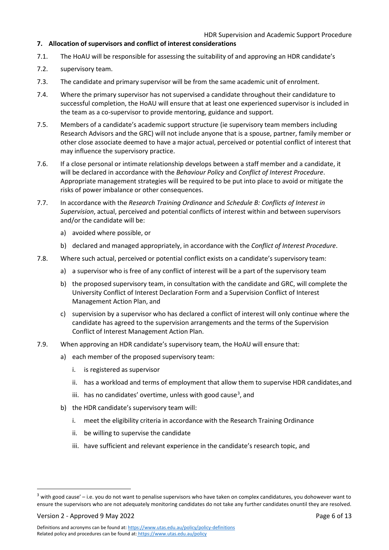## HDR Supervision and Academic Support Procedure

## <span id="page-5-0"></span>**7. Allocation of supervisors and conflict of interest considerations**

- 7.1. The HoAU will be responsible for assessing the suitability of and approving an HDR candidate's
- 7.2. supervisory team.
- 7.3. The candidate and primary supervisor will be from the same academic unit of enrolment.
- 7.4. Where the primary supervisor has not supervised a candidate throughout their candidature to successful completion, the HoAU will ensure that at least one experienced supervisor is included in the team as a co-supervisor to provide mentoring, guidance and support.
- <span id="page-5-2"></span>7.5. Members of a candidate's academic support structure (ie supervisory team members including Research Advisors and the GRC) will not include anyone that is a spouse, partner, family member or other close associate deemed to have a major actual, perceived or potential conflict of interest that may influence the supervisory practice.
- <span id="page-5-3"></span>7.6. If a close personal or intimate relationship develops between a staff member and a candidate, it will be declared in accordance with the *Behaviour Policy* and *Conflict of Interest Procedure*. Appropriate management strategies will be required to be put into place to avoid or mitigate the risks of power imbalance or other consequences.
- 7.7. In accordance with the *Research Training Ordinance* and *Schedule B: Conflicts of Interest in Supervision*, actual, perceived and potential conflicts of interest within and between supervisors and/or the candidate will be:
	- a) avoided where possible, or
	- b) declared and managed appropriately, in accordance with the *Conflict of Interest Procedure*.
- 7.8. Where such actual, perceived or potential conflict exists on a candidate's supervisory team:
	- a) a supervisor who is free of any conflict of interest will be a part of the supervisory team
	- b) the proposed supervisory team, in consultation with the candidate and GRC, will complete the University Conflict of Interest Declaration Form and a Supervision Conflict of Interest Management Action Plan, and
	- c) supervision by a supervisor who has declared a conflict of interest will only continue where the candidate has agreed to the supervision arrangements and the terms of the Supervision Conflict of Interest Management Action Plan.
- 7.9. When approving an HDR candidate's supervisory team, the HoAU will ensure that:
	- a) each member of the proposed supervisory team:
		- i. is registered as supervisor
		- ii. has a workload and terms of employment that allow them to supervise HDR candidates,and
		- iii. has no candidates' overtime, unless with good cause<sup>[3](#page-5-1)</sup>, and
	- b) the HDR candidate's supervisory team will:
		- i. meet the eligibility criteria in accordance with the Research Training Ordinance
		- ii. be willing to supervise the candidate
		- iii. have sufficient and relevant experience in the candidate's research topic, and

Version 2 - Approved 9 May 2022 **Page 6 of 13** 

<span id="page-5-1"></span> $3$  with good cause' – i.e. you do not want to penalise supervisors who have taken on complex candidatures, you dohowever want to ensure the supervisors who are not adequately monitoring candidates do not take any further candidates onuntil they are resolved.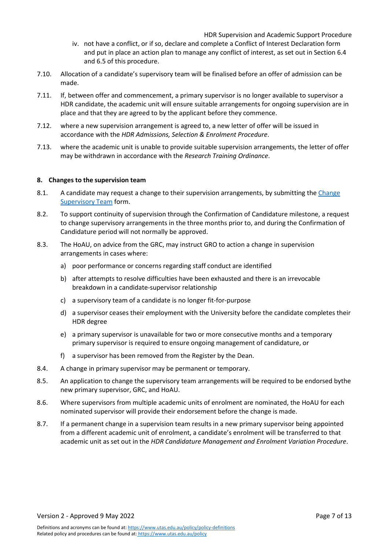- iv. not have a conflict, or if so, declare and complete a Conflict of Interest Declaration form and put in place an action plan to manage any conflict of interest, as set out in Section [6.4](#page-5-2) and [6.5](#page-5-3) of this procedure.
- 7.10. Allocation of a candidate's supervisory team will be finalised before an offer of admission can be made.
- 7.11. If, between offer and commencement, a primary supervisor is no longer available to supervisor a HDR candidate, the academic unit will ensure suitable arrangements for ongoing supervision are in place and that they are agreed to by the applicant before they commence.
- 7.12. where a new supervision arrangement is agreed to, a new letter of offer will be issued in accordance with the *HDR Admissions, Selection & Enrolment Procedure*.
- 7.13. where the academic unit is unable to provide suitable supervision arrangements, the letter of offer may be withdrawn in accordance with the *Research Training Ordinance*.

#### <span id="page-6-0"></span>**8. Changes to the supervision team**

- 8.1. A candidate may request a change to their supervision arrangements, by submitting the [Change](https://utas1.service-now.com/selfservice?id=sc_cat_item&sys_id=a2d18ba4db5debc03fb964a14a961950) [Supervisory](https://utas1.service-now.com/selfservice?id=sc_cat_item&sys_id=a2d18ba4db5debc03fb964a14a961950) Team form.
- 8.2. To support continuity of supervision through the Confirmation of Candidature milestone, a request to change supervisory arrangements in the three months prior to, and during the Confirmation of Candidature period will not normally be approved.
- 8.3. The HoAU, on advice from the GRC, may instruct GRO to action a change in supervision arrangements in cases where:
	- a) poor performance or concerns regarding staff conduct are identified
	- b) after attempts to resolve difficulties have been exhausted and there is an irrevocable breakdown in a candidate-supervisor relationship
	- c) a supervisory team of a candidate is no longer fit-for-purpose
	- d) a supervisor ceases their employment with the University before the candidate completes their HDR degree
	- e) a primary supervisor is unavailable for two or more consecutive months and a temporary primary supervisor is required to ensure ongoing management of candidature, or
	- f) a supervisor has been removed from the Register by the Dean.
- 8.4. A change in primary supervisor may be permanent or temporary.
- 8.5. An application to change the supervisory team arrangements will be required to be endorsed bythe new primary supervisor, GRC, and HoAU.
- 8.6. Where supervisors from multiple academic units of enrolment are nominated, the HoAU for each nominated supervisor will provide their endorsement before the change is made.
- 8.7. If a permanent change in a supervision team results in a new primary supervisor being appointed from a different academic unit of enrolment, a candidate's enrolment will be transferred to that academic unit as set out in the *HDR Candidature Management and Enrolment Variation Procedure*.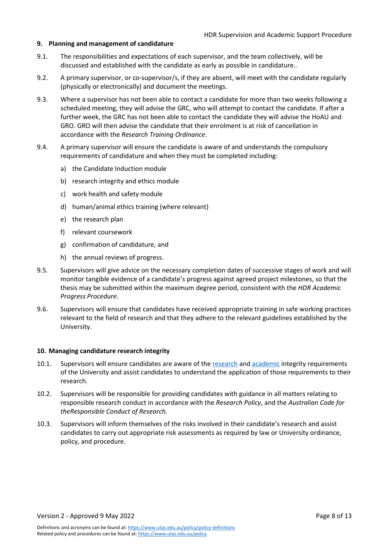#### <span id="page-7-0"></span>**9. Planning and management of candidature**

- 9.1. The responsibilities and expectations of each supervisor, and the team collectively, will be discussed and established with the candidate as early as possible in candidature..
- 9.2. A primary supervisor, or co-supervisor/s, if they are absent, will meet with the candidate regularly (physically or electronically) and document the meetings.
- 9.3. Where a supervisor has not been able to contact a candidate for more than two weeks following a scheduled meeting, they will advise the GRC, who will attempt to contact the candidate. If after a further week, the GRC has not been able to contact the candidate they will advise the HoAU and GRO. GRO will then advise the candidate that their enrolment is at risk of cancellation in accordance with the *Research Training Ordinance*.
- 9.4. A primary supervisor will ensure the candidate is aware of and understands the compulsory requirements of candidature and when they must be completed including:
	- a) the Candidate Induction module
	- b) research integrity and ethics module
	- c) work health and safety module
	- d) human/animal ethics training (where relevant)
	- e) the research plan
	- f) relevant coursework
	- g) confirmation of candidature, and
	- h) the annual reviews of progress.
- 9.5. Supervisors will give advice on the necessary completion dates of successive stages of work and will monitor tangible evidence of a candidate's progress against agreed project milestones, so that the thesis may be submitted within the maximum degree period, consistent with the *HDR Academic Progress Procedure*.
- 9.6. Supervisors will ensure that candidates have received appropriate training in safe working practices relevant to the field of research and that they adhere to the relevant guidelines established by the University.

#### <span id="page-7-1"></span>**10. Managing candidature research integrity**

- 10.1. Supervisors will ensure candidates are aware of the [research](https://www.utas.edu.au/research-admin/research-integrity-and-ethics-unit-rieu/research-integrity/university-of-tasmania-responsible-conduct-of-research-framework) and [academic](https://www.utas.edu.au/students/learning/academic-integrity) integrity requirements of the University and assist candidates to understand the application of those requirements to their research.
- 10.2. Supervisors will be responsible for providing candidates with guidance in all matters relating to responsible research conduct in accordance with the *Research Policy*, and the *Australian Code for theResponsible Conduct of Research.*
- 10.3. Supervisors will inform themselves of the risks involved in their candidate's research and assist candidates to carry out appropriate risk assessments as required by law or University ordinance, policy, and procedure.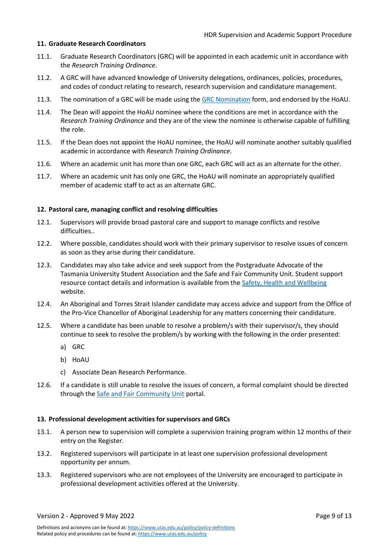#### <span id="page-8-0"></span>**11. Graduate Research Coordinators**

- 11.1. Graduate Research Coordinators (GRC) will be appointed in each academic unit in accordance with the *Research Training Ordinance*.
- 11.2. A GRC will have advanced knowledge of University delegations, ordinances, policies, procedures, and codes of conduct relating to research, research supervision and candidature management.
- 11.3. The nomination of a GRC will be made using the GRC [Nomination](https://utas1.service-now.com/selfservice?id=sc_cat_item&sys_id=11b71196db51e7046223147a3a96191a) form, and endorsed by the HoAU.
- 11.4. The Dean will appoint the HoAU nominee where the conditions are met in accordance with the *Research Training Ordinance* and they are of the view the nominee is otherwise capable of fulfilling the role.
- 11.5. If the Dean does not appoint the HoAU nominee, the HoAU will nominate another suitably qualified academic in accordance with *Research Training Ordinance*.
- 11.6. Where an academic unit has more than one GRC, each GRC will act as an alternate for the other.
- 11.7. Where an academic unit has only one GRC, the HoAU will nominate an appropriately qualified member of academic staff to act as an alternate GRC.

#### <span id="page-8-1"></span>**12. Pastoral care, managing conflict and resolving difficulties**

- 12.1. Supervisors will provide broad pastoral care and support to manage conflicts and resolve difficulties..
- 12.2. Where possible, candidates should work with their primary supervisor to resolve issues of concern as soon as they arise during their candidature.
- 12.3. Candidates may also take advice and seek support from the Postgraduate Advocate of the Tasmania University Student Association and the Safe and Fair Community Unit. Student support resource contact details and information is available from the [Safety, Health and Wellbeing](https://www.utas.edu.au/students/shw) website.
- 12.4. An Aboriginal and Torres Strait Islander candidate may access advice and support from the Office of the Pro-Vice Chancellor of Aboriginal Leadership for any matters concerning their candidature.
- 12.5. Where a candidate has been unable to resolve a problem/s with their supervisor/s, they should continue to seek to resolve the problem/s by working with the following in the order presented:
	- a) GRC
	- b) HoAU
	- c) Associate Dean Research Performance.
- 12.6. If a candidate is still unable to resolve the issues of concern, a formal complaint should be directed through the Safe and Fair [Community Unit](https://www.utas.edu.au/students/shw/safe-fair-community-unit) portal.

#### <span id="page-8-2"></span>**13. Professional development activities for supervisors and GRCs**

- 13.1. A person new to supervision will complete a supervision training program within 12 months of their entry on the Register.
- 13.2. Registered supervisors will participate in at least one supervision professional development opportunity per annum.
- 13.3. Registered supervisors who are not employees of the University are encouraged to participate in professional development activities offered at the University.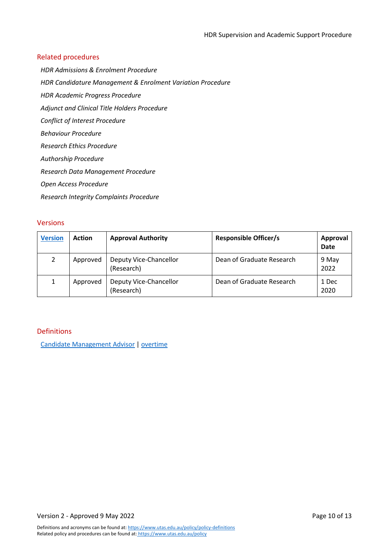## <span id="page-9-0"></span>Related procedures

*HDR Admissions & Enrolment Procedure*

*HDR Candidature Management & Enrolment Variation Procedure*

*HDR Academic Progress Procedure*

*Adjunct and Clinical Title Holders Procedure*

*Conflict of Interest Procedure*

*Behaviour Procedure*

*Research Ethics Procedure*

*Authorship Procedure*

*Research Data Management Procedure*

*Open Access Procedure*

*Research Integrity Complaints Procedure*

## <span id="page-9-1"></span>Versions

| <b>Version</b> | <b>Action</b> | <b>Approval Authority</b>            | <b>Responsible Officer/s</b> | Approval<br><b>Date</b> |
|----------------|---------------|--------------------------------------|------------------------------|-------------------------|
|                | Approved      | Deputy Vice-Chancellor<br>(Research) | Dean of Graduate Research    | 9 May<br>2022           |
|                | Approved      | Deputy Vice-Chancellor<br>(Research) | Dean of Graduate Research    | 1 Dec<br>2020           |

#### <span id="page-9-2"></span>Definitions

Candidate [Management](http://www.utas.edu.au/policy/policy-definitions/definitions/candidate-management-advisor) Advisor | [overtime](http://www.utas.edu.au/policy/policy-definitions/definitions/overtime)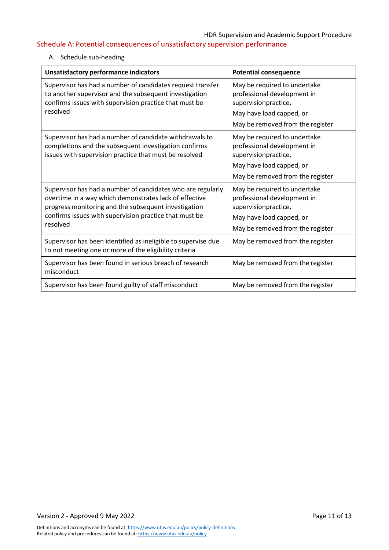# <span id="page-10-0"></span>Schedule A: Potential consequences of unsatisfactory supervision performance

## A. Schedule sub-heading

| Unsatisfactory performance indicators                                                                                                                                                                                                               | <b>Potential consequence</b>                                                                                                                        |  |
|-----------------------------------------------------------------------------------------------------------------------------------------------------------------------------------------------------------------------------------------------------|-----------------------------------------------------------------------------------------------------------------------------------------------------|--|
| Supervisor has had a number of candidates request transfer<br>to another supervisor and the subsequent investigation<br>confirms issues with supervision practice that must be<br>resolved                                                          | May be required to undertake<br>professional development in<br>supervisionpractice,<br>May have load capped, or<br>May be removed from the register |  |
| Supervisor has had a number of candidate withdrawals to<br>completions and the subsequent investigation confirms<br>issues with supervision practice that must be resolved                                                                          | May be required to undertake<br>professional development in<br>supervisionpractice,<br>May have load capped, or<br>May be removed from the register |  |
| Supervisor has had a number of candidates who are regularly<br>overtime in a way which demonstrates lack of effective<br>progress monitoring and the subsequent investigation<br>confirms issues with supervision practice that must be<br>resolved | May be required to undertake<br>professional development in<br>supervisionpractice,<br>May have load capped, or<br>May be removed from the register |  |
| Supervisor has been identified as ineligible to supervise due<br>to not meeting one or more of the eligibility criteria                                                                                                                             | May be removed from the register                                                                                                                    |  |
| Supervisor has been found in serious breach of research<br>misconduct                                                                                                                                                                               | May be removed from the register                                                                                                                    |  |
| Supervisor has been found guilty of staff misconduct                                                                                                                                                                                                | May be removed from the register                                                                                                                    |  |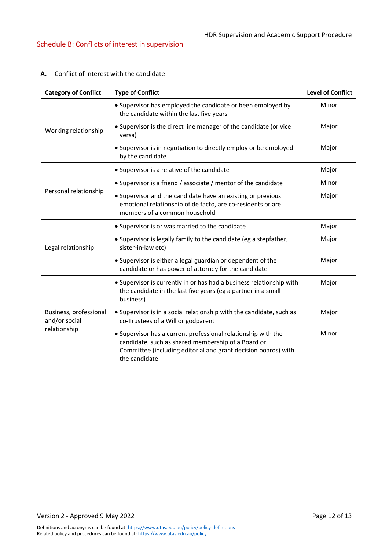| <b>Category of Conflict</b>             | <b>Type of Conflict</b>                                                                                                                                                                                | <b>Level of Conflict</b> |
|-----------------------------------------|--------------------------------------------------------------------------------------------------------------------------------------------------------------------------------------------------------|--------------------------|
|                                         | • Supervisor has employed the candidate or been employed by<br>the candidate within the last five years                                                                                                | Minor                    |
| Working relationship                    | • Supervisor is the direct line manager of the candidate (or vice<br>versa)                                                                                                                            | Major                    |
|                                         | • Supervisor is in negotiation to directly employ or be employed<br>by the candidate                                                                                                                   | Major                    |
|                                         | • Supervisor is a relative of the candidate                                                                                                                                                            | Major                    |
|                                         | • Supervisor is a friend / associate / mentor of the candidate                                                                                                                                         | Minor                    |
| Personal relationship                   | • Supervisor and the candidate have an existing or previous<br>emotional relationship of de facto, are co-residents or are<br>members of a common household                                            | Major                    |
|                                         | • Supervisor is or was married to the candidate                                                                                                                                                        | Major                    |
| Legal relationship                      | • Supervisor is legally family to the candidate (eg a stepfather,<br>sister-in-law etc)                                                                                                                | Major                    |
|                                         | • Supervisor is either a legal guardian or dependent of the<br>candidate or has power of attorney for the candidate                                                                                    | Major                    |
|                                         | • Supervisor is currently in or has had a business relationship with<br>the candidate in the last five years (eg a partner in a small<br>business)                                                     | Major                    |
| Business, professional<br>and/or social | • Supervisor is in a social relationship with the candidate, such as<br>co-Trustees of a Will or godparent                                                                                             | Major                    |
| relationship                            | • Supervisor has a current professional relationship with the<br>candidate, such as shared membership of a Board or<br>Committee (including editorial and grant decision boards) with<br>the candidate | Minor                    |

### <span id="page-11-0"></span>**A.** Conflict of interest with the candidate